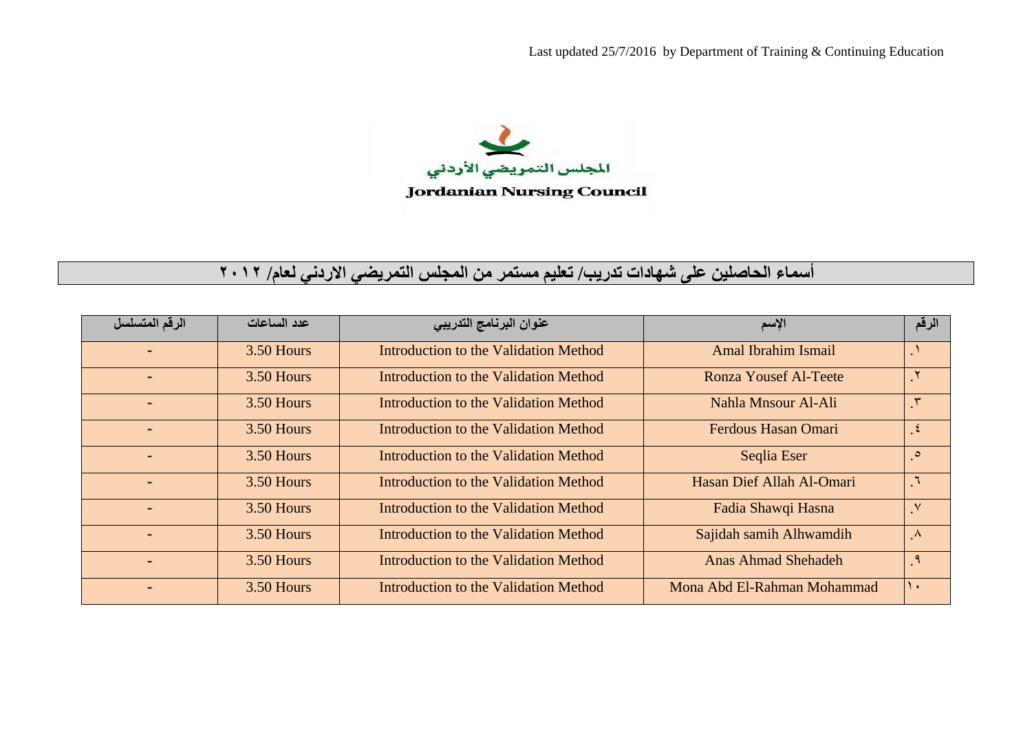المجلس التمريضي الأردني **Jordanian Nursing Council** 

## **أسماء الحاصلين على شھادات تدريب/ تعليم مستمر من المجلس التمريضي االردني لعام/ <sup>٢٠١٢</sup>**

| الرقم المتسلسل | عدد الساعات  | عنوان البرنامج التدريبي               | الإسم                        | الرقم         |
|----------------|--------------|---------------------------------------|------------------------------|---------------|
|                | $3.50$ Hours | Introduction to the Validation Method | Amal Ibrahim Ismail          |               |
|                | 3.50 Hours   | Introduction to the Validation Method | <b>Ronza Yousef Al-Teete</b> | $\mathcal{N}$ |
|                | 3.50 Hours   | Introduction to the Validation Method | Nahla Mnsour Al-Ali          |               |
|                | 3.50 Hours   | Introduction to the Validation Method | Ferdous Hasan Omari          | $\epsilon$    |
|                | 3.50 Hours   | Introduction to the Validation Method | Seglia Eser                  | $\circ$       |
|                | $3.50$ Hours | Introduction to the Validation Method | Hasan Dief Allah Al-Omari    | $\mathcal{L}$ |
|                | 3.50 Hours   | Introduction to the Validation Method | Fadia Shawqi Hasna           | $\sqrt{}$     |
|                | 3.50 Hours   | Introduction to the Validation Method | Sajidah samih Alhwamdih      | $\Lambda$     |
|                | 3.50 Hours   | Introduction to the Validation Method | <b>Anas Ahmad Shehadeh</b>   | ़१            |
|                | $3.50$ Hours | Introduction to the Validation Method | Mona Abd El-Rahman Mohammad  | $\lambda$     |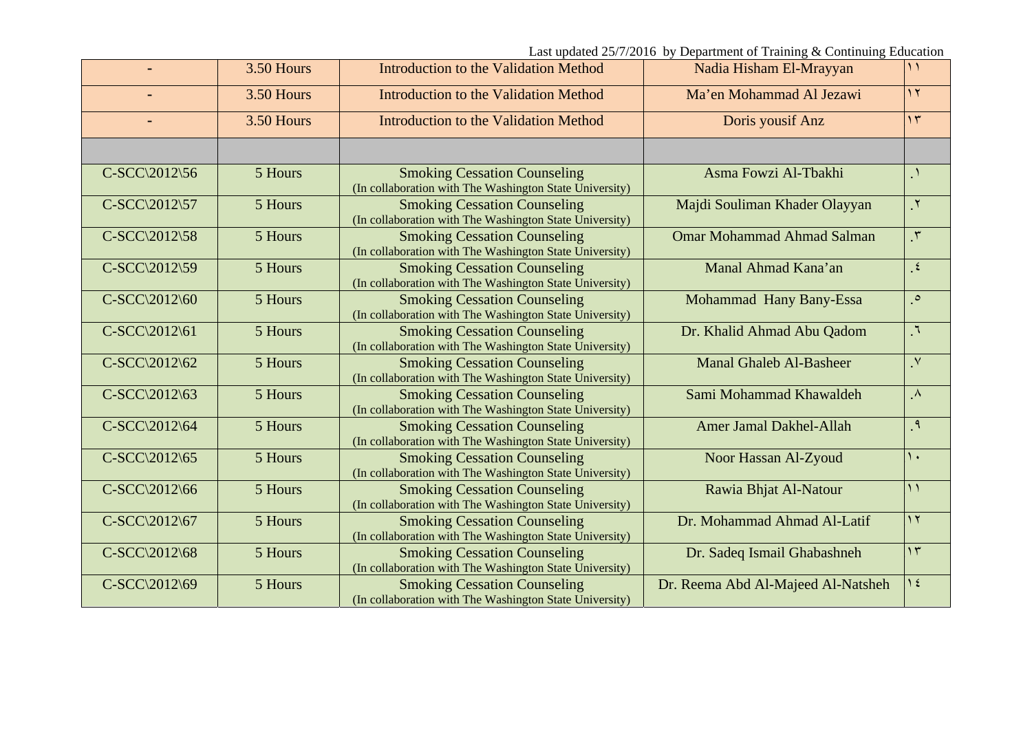|                               | 3.50 Hours | <b>Introduction to the Validation Method</b>                                                   | Nadia Hisham El-Mrayyan            | $\mathcal{L}$   |
|-------------------------------|------------|------------------------------------------------------------------------------------------------|------------------------------------|-----------------|
|                               | 3.50 Hours | Introduction to the Validation Method                                                          | Ma'en Mohammad Al Jezawi           | $\overline{11}$ |
|                               | 3.50 Hours | Introduction to the Validation Method                                                          | Doris yousif Anz                   | $\gamma$        |
|                               |            |                                                                                                |                                    |                 |
| C-SCC\2012\56                 | 5 Hours    | <b>Smoking Cessation Counseling</b><br>(In collaboration with The Washington State University) | Asma Fowzi Al-Tbakhi               | $\Lambda$       |
| C-SCC\2012\57                 | 5 Hours    | <b>Smoking Cessation Counseling</b><br>(In collaboration with The Washington State University) | Majdi Souliman Khader Olayyan      | $\mathbf{y}$    |
| C-SCC\2012\58                 | 5 Hours    | <b>Smoking Cessation Counseling</b><br>(In collaboration with The Washington State University) | <b>Omar Mohammad Ahmad Salman</b>  | $\mathcal{N}$   |
| C-SCC\2012\59                 | 5 Hours    | <b>Smoking Cessation Counseling</b><br>(In collaboration with The Washington State University) | Manal Ahmad Kana'an                | $\epsilon$      |
| $C-SCC\langle 2012\rangle 60$ | 5 Hours    | <b>Smoking Cessation Counseling</b><br>(In collaboration with The Washington State University) | Mohammad Hany Bany-Essa            | $\circ$         |
| C-SCC\2012\61                 | 5 Hours    | <b>Smoking Cessation Counseling</b><br>(In collaboration with The Washington State University) | Dr. Khalid Ahmad Abu Qadom         | $\mathcal{A}$   |
| C-SCC\2012\62                 | 5 Hours    | <b>Smoking Cessation Counseling</b><br>(In collaboration with The Washington State University) | <b>Manal Ghaleb Al-Basheer</b>     | $\mathsf{v}$    |
| C-SCC\2012\63                 | 5 Hours    | <b>Smoking Cessation Counseling</b><br>(In collaboration with The Washington State University) | Sami Mohammad Khawaldeh            | $\Lambda$       |
| C-SCC\2012\64                 | 5 Hours    | <b>Smoking Cessation Counseling</b><br>(In collaboration with The Washington State University) | <b>Amer Jamal Dakhel-Allah</b>     | $\mathcal{A}$   |
| $C-SCC\langle 2012\rangle 65$ | 5 Hours    | <b>Smoking Cessation Counseling</b><br>(In collaboration with The Washington State University) | Noor Hassan Al-Zyoud               | $\lambda$       |
| C-SCC\2012\66                 | 5 Hours    | <b>Smoking Cessation Counseling</b><br>(In collaboration with The Washington State University) | Rawia Bhjat Al-Natour              | $\overline{1}$  |
| C-SCC\2012\67                 | 5 Hours    | <b>Smoking Cessation Counseling</b><br>(In collaboration with The Washington State University) | Dr. Mohammad Ahmad Al-Latif        | $\overline{1}$  |
| C-SCC\2012\68                 | 5 Hours    | <b>Smoking Cessation Counseling</b><br>(In collaboration with The Washington State University) | Dr. Sadeq Ismail Ghabashneh        | $\gamma \tau$   |
| C-SCC\2012\69                 | 5 Hours    | <b>Smoking Cessation Counseling</b><br>(In collaboration with The Washington State University) | Dr. Reema Abd Al-Majeed Al-Natsheh | $\lambda$ {     |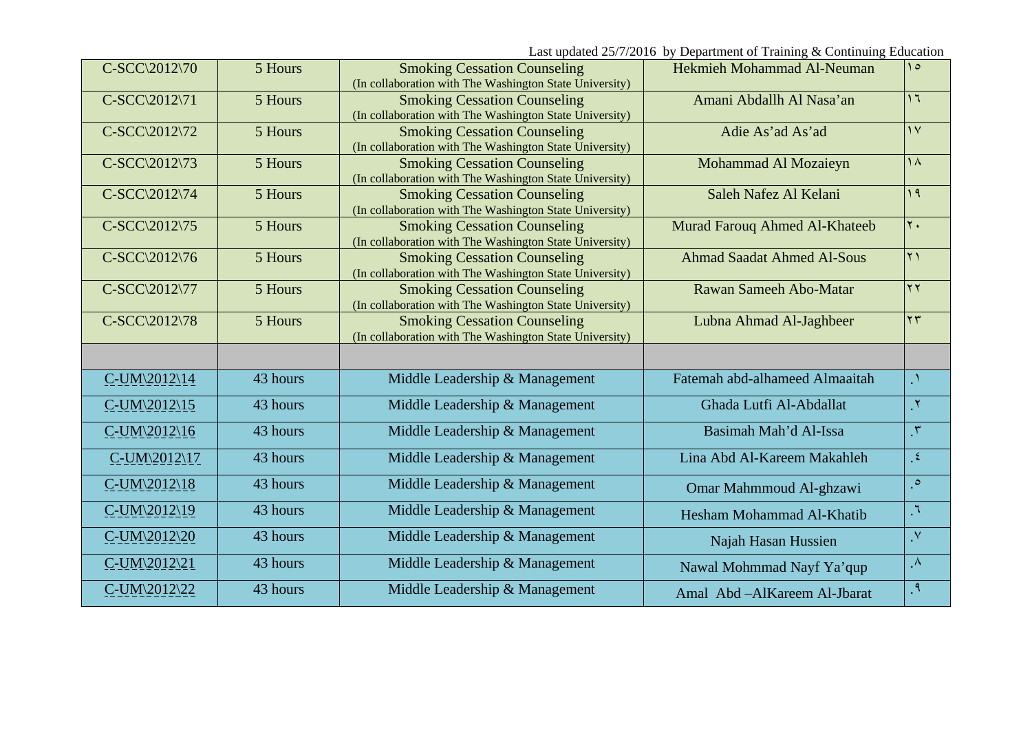Last updated 25/7/2016 by Department of Training & Continuing Education

| C-SCC\2012\70                      | 5 Hours  | <b>Smoking Cessation Counseling</b><br>(In collaboration with The Washington State University) | Hekmieh Mohammad Al-Neuman        | $\Delta$       |
|------------------------------------|----------|------------------------------------------------------------------------------------------------|-----------------------------------|----------------|
| C-SCC\2012\71                      | 5 Hours  | <b>Smoking Cessation Counseling</b><br>(In collaboration with The Washington State University) | Amani Abdallh Al Nasa'an          | $\overline{1}$ |
| C-SCC\2012\72                      | 5 Hours  | <b>Smoking Cessation Counseling</b><br>(In collaboration with The Washington State University) | Adie As'ad As'ad                  | $\overline{V}$ |
| C-SCC\2012\73                      | 5 Hours  | <b>Smoking Cessation Counseling</b><br>(In collaboration with The Washington State University) | Mohammad Al Mozaieyn              | $\lambda$      |
| C-SCC\2012\74                      | 5 Hours  | <b>Smoking Cessation Counseling</b><br>(In collaboration with The Washington State University) | Saleh Nafez Al Kelani             | 19             |
| C-SCC\2012\75                      | 5 Hours  | <b>Smoking Cessation Counseling</b><br>(In collaboration with The Washington State University) | Murad Farouq Ahmed Al-Khateeb     | $\mathbf{r}$   |
| C-SCC\2012\76                      | 5 Hours  | <b>Smoking Cessation Counseling</b><br>(In collaboration with The Washington State University) | <b>Ahmad Saadat Ahmed Al-Sous</b> | $\overline{Y}$ |
| C-SCC\2012\77                      | 5 Hours  | <b>Smoking Cessation Counseling</b><br>(In collaboration with The Washington State University) | Rawan Sameeh Abo-Matar            | $\mathbf{y}$   |
| C-SCC\2012\78                      | 5 Hours  | <b>Smoking Cessation Counseling</b><br>(In collaboration with The Washington State University) | Lubna Ahmad Al-Jaghbeer           | $\mathbf{y}$   |
|                                    |          |                                                                                                |                                   |                |
| $C$ -UM $\langle 2012 \rangle 14$  | 43 hours | Middle Leadership & Management                                                                 | Fatemah abd-alhameed Almaaitah    | $\Lambda$      |
| $C$ -UM $\langle 2012 \rangle 15$  | 43 hours | Middle Leadership & Management                                                                 | Ghada Lutfi Al-Abdallat           | $\mathcal{N}$  |
| $C$ -UM\2012\16                    | 43 hours | Middle Leadership & Management                                                                 | Basimah Mah'd Al-Issa             | $\mathcal{N}$  |
| $C$ -UM $\langle 2012 \rangle$ 17  | 43 hours | Middle Leadership & Management                                                                 | Lina Abd Al-Kareem Makahleh       | $\mathcal{L}$  |
| $C$ -UM $\langle 2012 \rangle 18$  | 43 hours | Middle Leadership & Management                                                                 | Omar Mahmmoud Al-ghzawi           | $\circ$        |
| $C$ -UM $\langle 2012 \rangle$ 19  | 43 hours | Middle Leadership & Management                                                                 | Hesham Mohammad Al-Khatib         | $\mathcal{A}$  |
| $C$ -UM $\langle 2012 \rangle 20$  | 43 hours | Middle Leadership & Management                                                                 | Najah Hasan Hussien               | $\mathbf{v}$   |
| $C$ -UM $\sqrt{2012}\overline{21}$ | 43 hours | Middle Leadership & Management                                                                 | Nawal Mohmmad Nayf Ya'qup         | $\Lambda$      |
| $C$ -UM $\sqrt{2012}\overline{22}$ | 43 hours | Middle Leadership & Management                                                                 | Amal Abd - Al Kareem Al-Jbarat    | $\mathcal{A}$  |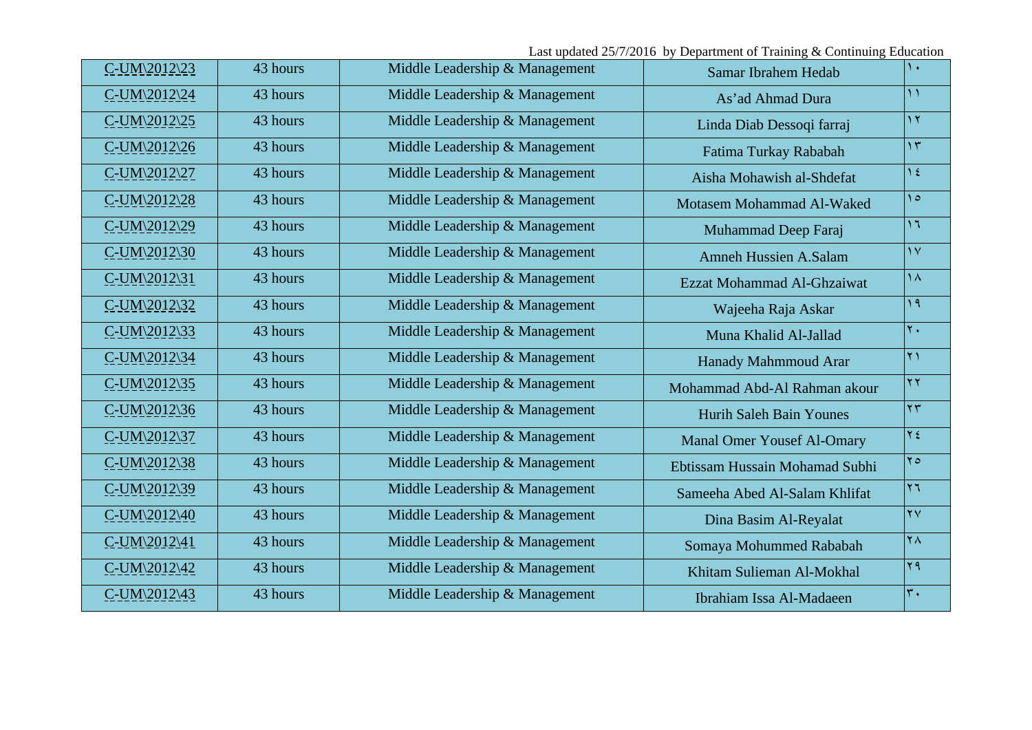| C-UM\2012\23                       | 43 hours | Middle Leadership & Management | Samar Ibrahem Hedab               | $\mathcal{N}$             |
|------------------------------------|----------|--------------------------------|-----------------------------------|---------------------------|
| $C$ -UM $\sqrt{2012}\sqrt{24}$     | 43 hours | Middle Leadership & Management | As'ad Ahmad Dura                  | $\mathcal{N}$             |
| $C$ -UM $\langle 2012 \rangle 25$  | 43 hours | Middle Leadership & Management | Linda Diab Dessoqi farraj         | $\gamma$                  |
| C-UM\2012\26                       | 43 hours | Middle Leadership & Management | Fatima Turkay Rababah             | $\gamma$                  |
| $C$ -UM $\sqrt{2012}\sqrt{27}$     | 43 hours | Middle Leadership & Management | Aisha Mohawish al-Shdefat         | $\gamma$ {                |
| $C$ -UM $\sqrt{2012}\overline{28}$ | 43 hours | Middle Leadership & Management | Motasem Mohammad Al-Waked         | $\Delta$                  |
| $C$ -UM $\langle 2012 \rangle 29$  | 43 hours | Middle Leadership & Management | Muhammad Deep Faraj               | 17                        |
| $C$ -UM $\sqrt{2012}\sqrt{30}$     | 43 hours | Middle Leadership & Management | <b>Amneh Hussien A.Salam</b>      | $\overline{Y}$            |
| $C$ -UM $\langle 2012 \rangle 31$  | 43 hours | Middle Leadership & Management | Ezzat Mohammad Al-Ghzaiwat        | $\Delta$                  |
| $C$ -UM $\sqrt{2012}\sqrt{32}$     | 43 hours | Middle Leadership & Management | Wajeeha Raja Askar                | $\lambda$                 |
| $C$ -UM $\langle 2012 \rangle 33$  | 43 hours | Middle Leadership & Management | Muna Khalid Al-Jallad             | $\mathbf{r}$ .            |
| $C$ -UM $\langle 2012 \rangle 34$  | 43 hours | Middle Leadership & Management | Hanady Mahmmoud Arar              | $\mathbf{r}$              |
| C-UM\2012\35                       | 43 hours | Middle Leadership & Management | Mohammad Abd-Al Rahman akour      | $\overline{Y}$            |
| $C$ -UM $\sqrt{2012}\sqrt{36}$     | 43 hours | Middle Leadership & Management | Hurih Saleh Bain Younes           | $\mathbf{r}$              |
| C-UM\2012\37                       | 43 hours | Middle Leadership & Management | <b>Manal Omer Yousef Al-Omary</b> | $Y \xi$                   |
| C-UM\2012\38                       | 43 hours | Middle Leadership & Management | Ebtissam Hussain Mohamad Subhi    | $\mathsf{Y}\circ$         |
| C-UM\2012\39                       | 43 hours | Middle Leadership & Management | Sameeha Abed Al-Salam Khlifat     | $ \mathbf{y} \mathbf{y} $ |
| C-UM\2012\40                       | 43 hours | Middle Leadership & Management | Dina Basim Al-Reyalat             | $\overline{Y}V$           |
| $C$ -UM $\langle 2012 \rangle 41$  | 43 hours | Middle Leadership & Management | Somaya Mohummed Rababah           | $\mathsf{Y}\Lambda$       |
| C-UM\2012\42                       | 43 hours | Middle Leadership & Management | Khitam Sulieman Al-Mokhal         | $\mathbf{r}$              |
| $C$ -UM $\langle 2012 \rangle 43$  | 43 hours | Middle Leadership & Management | Ibrahiam Issa Al-Madaeen          | $\mathbf{r}$ .            |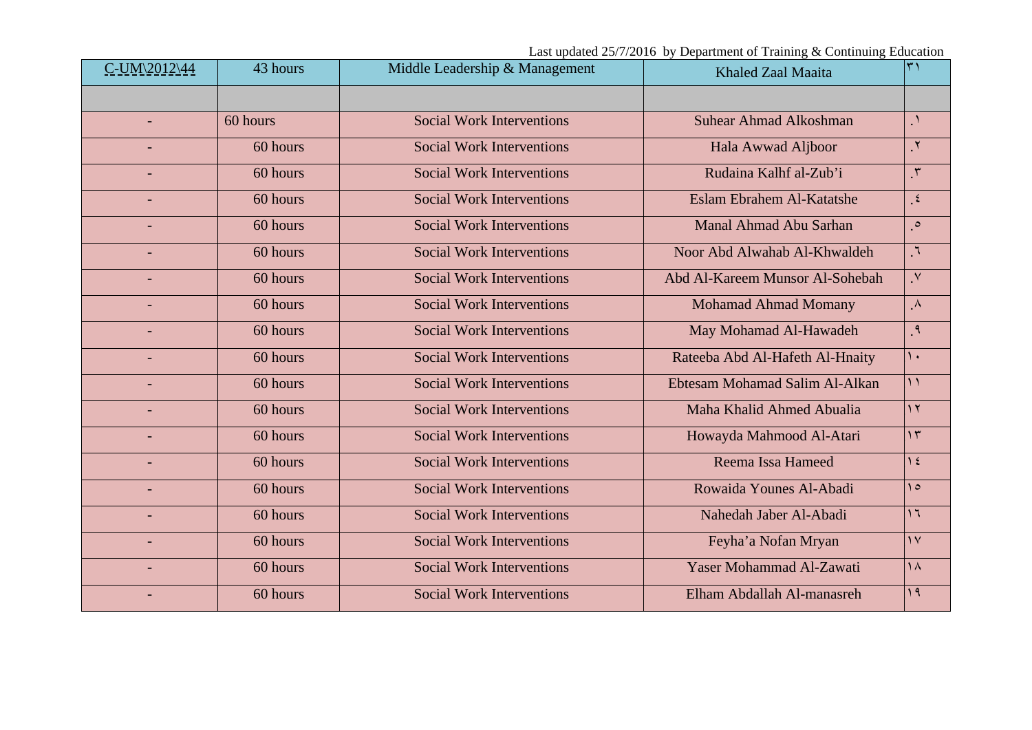| C-UM\2012\44             | 43 hours | Middle Leadership & Management   | Khaled Zaal Maaita              | $\mathbf{r}$   |
|--------------------------|----------|----------------------------------|---------------------------------|----------------|
|                          |          |                                  |                                 |                |
| $\overline{\phantom{a}}$ | 60 hours | <b>Social Work Interventions</b> | <b>Suhear Ahmad Alkoshman</b>   | $\Lambda$      |
|                          | 60 hours | <b>Social Work Interventions</b> | Hala Awwad Aljboor              | $\mathbf{r}$   |
|                          | 60 hours | <b>Social Work Interventions</b> | Rudaina Kalhf al-Zub'i          | $\mathcal{N}$  |
|                          | 60 hours | <b>Social Work Interventions</b> | Eslam Ebrahem Al-Katatshe       | $\epsilon$     |
|                          | 60 hours | <b>Social Work Interventions</b> | Manal Ahmad Abu Sarhan          | $\circ$        |
|                          | 60 hours | <b>Social Work Interventions</b> | Noor Abd Alwahab Al-Khwaldeh    | $\mathcal{L}$  |
|                          | 60 hours | <b>Social Work Interventions</b> | Abd Al-Kareem Munsor Al-Sohebah | $\mathsf{v}$   |
|                          | 60 hours | <b>Social Work Interventions</b> | <b>Mohamad Ahmad Momany</b>     | $\Lambda$      |
|                          | 60 hours | <b>Social Work Interventions</b> | May Mohamad Al-Hawadeh          | $\mathcal{A}$  |
|                          | 60 hours | <b>Social Work Interventions</b> | Rateeba Abd Al-Hafeth Al-Hnaity | $\lambda$      |
|                          | 60 hours | <b>Social Work Interventions</b> | Ebtesam Mohamad Salim Al-Alkan  | $\mathcal{L}$  |
|                          | 60 hours | <b>Social Work Interventions</b> | Maha Khalid Ahmed Abualia       | $\gamma$       |
|                          | 60 hours | <b>Social Work Interventions</b> | Howayda Mahmood Al-Atari        | $\gamma$       |
|                          | 60 hours | <b>Social Work Interventions</b> | Reema Issa Hameed               | $\frac{1}{2}$  |
|                          | 60 hours | <b>Social Work Interventions</b> | Rowaida Younes Al-Abadi         | $\theta$       |
|                          | 60 hours | <b>Social Work Interventions</b> | Nahedah Jaber Al-Abadi          | $\overline{1}$ |
|                          | 60 hours | <b>Social Work Interventions</b> | Feyha'a Nofan Mryan             | $\gamma$       |
|                          | 60 hours | <b>Social Work Interventions</b> | Yaser Mohammad Al-Zawati        | $\lambda$      |
|                          | 60 hours | <b>Social Work Interventions</b> | Elham Abdallah Al-manasreh      | 19             |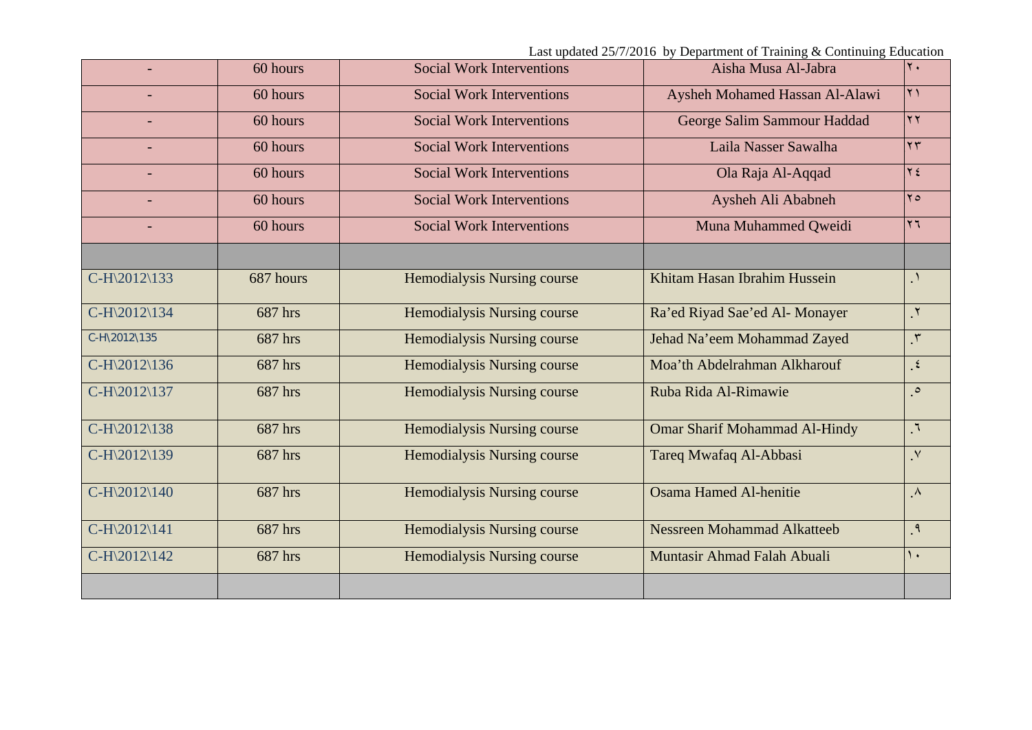|              | 60 hours  | <b>Social Work Interventions</b> | Aisha Musa Al-Jabra                  | $\mathbf{r}$ .             |
|--------------|-----------|----------------------------------|--------------------------------------|----------------------------|
|              |           |                                  |                                      |                            |
|              | 60 hours  | <b>Social Work Interventions</b> | Aysheh Mohamed Hassan Al-Alawi       | $\mathbf{y}$               |
|              | 60 hours  | <b>Social Work Interventions</b> | George Salim Sammour Haddad          | $\mathbf{y}$               |
|              | 60 hours  | <b>Social Work Interventions</b> | Laila Nasser Sawalha                 | $\mathbf{y}$               |
|              | 60 hours  | <b>Social Work Interventions</b> | Ola Raja Al-Aqqad                    | $Y \xi$                    |
|              | 60 hours  | <b>Social Work Interventions</b> | Aysheh Ali Ababneh                   | $Y \circ$                  |
|              | 60 hours  | <b>Social Work Interventions</b> | Muna Muhammed Qweidi                 | $\mathbf{y}$               |
|              |           |                                  |                                      |                            |
| C-H\2012\133 | 687 hours | Hemodialysis Nursing course      | Khitam Hasan Ibrahim Hussein         | $\Lambda$                  |
| C-H\2012\134 | 687 hrs   | Hemodialysis Nursing course      | Ra'ed Riyad Sae'ed Al-Monayer        | $\mathbf{r}$ .             |
| C-H\2012\135 | 687 hrs   | Hemodialysis Nursing course      | Jehad Na'eem Mohammad Zayed          | $\mathbf{r}$               |
| C-H\2012\136 | 687 hrs   | Hemodialysis Nursing course      | Moa'th Abdelrahman Alkharouf         | $\mathbf{R}$               |
| C-H\2012\137 | 687 hrs   | Hemodialysis Nursing course      | Ruba Rida Al-Rimawie                 | $\circ$                    |
| C-H\2012\138 | 687 hrs   | Hemodialysis Nursing course      | <b>Omar Sharif Mohammad Al-Hindy</b> | $\mathcal{L}_{\mathbf{L}}$ |
| C-H\2012\139 | 687 hrs   | Hemodialysis Nursing course      | Tareq Mwafaq Al-Abbasi               | $\mathsf{v}$               |
| C-H\2012\140 | 687 hrs   | Hemodialysis Nursing course      | <b>Osama Hamed Al-henitie</b>        | $\Lambda$                  |
| C-H\2012\141 | 687 hrs   | Hemodialysis Nursing course      | Nessreen Mohammad Alkatteeb          | $\mathcal{A}$              |
| C-H\2012\142 | 687 hrs   | Hemodialysis Nursing course      | Muntasir Ahmad Falah Abuali          | $\lambda$ .                |
|              |           |                                  |                                      |                            |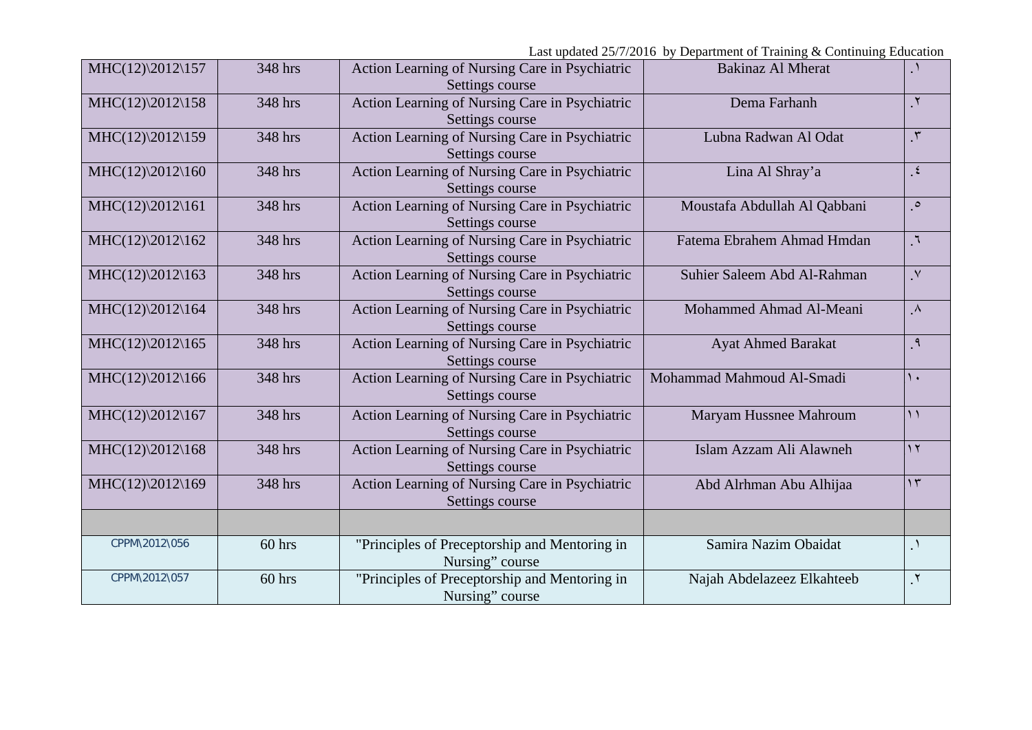| $MHC(12)\2012\157$ | 348 hrs | Action Learning of Nursing Care in Psychiatric<br>Settings course | <b>Bakinaz Al Mherat</b>     |                       |
|--------------------|---------|-------------------------------------------------------------------|------------------------------|-----------------------|
| $MHC(12)\2012\158$ | 348 hrs | Action Learning of Nursing Care in Psychiatric<br>Settings course | Dema Farhanh                 | $\mathbf{r}$ .        |
| MHC(12)\2012\159   | 348 hrs | Action Learning of Nursing Care in Psychiatric<br>Settings course | Lubna Radwan Al Odat         | $\mathcal{N}$         |
| $MHC(12)\2012\160$ | 348 hrs | Action Learning of Nursing Care in Psychiatric<br>Settings course | Lina Al Shray'a              | $\epsilon$            |
| $MHC(12)\2012\161$ | 348 hrs | Action Learning of Nursing Care in Psychiatric<br>Settings course | Moustafa Abdullah Al Qabbani | $\circ$               |
| $MHC(12)\2012\162$ | 348 hrs | Action Learning of Nursing Care in Psychiatric<br>Settings course | Fatema Ebrahem Ahmad Hmdan   | $\mathcal{L}_{\perp}$ |
| MHC(12)\2012\163   | 348 hrs | Action Learning of Nursing Care in Psychiatric<br>Settings course | Suhier Saleem Abd Al-Rahman  | $\mathsf{v}$          |
| $MHC(12)\2012\164$ | 348 hrs | Action Learning of Nursing Care in Psychiatric<br>Settings course | Mohammed Ahmad Al-Meani      | $\Lambda$             |
| $MHC(12)\2012\165$ | 348 hrs | Action Learning of Nursing Care in Psychiatric<br>Settings course | <b>Ayat Ahmed Barakat</b>    | ृ १                   |
| $MHC(12)\2012\166$ | 348 hrs | Action Learning of Nursing Care in Psychiatric<br>Settings course | Mohammad Mahmoud Al-Smadi    | $\lambda$             |
| $MHC(12)\2012\167$ | 348 hrs | Action Learning of Nursing Care in Psychiatric<br>Settings course | Maryam Hussnee Mahroum       | $\mathcal{L}$         |
| MHC(12)\2012\168   | 348 hrs | Action Learning of Nursing Care in Psychiatric<br>Settings course | Islam Azzam Ali Alawneh      | $\gamma$              |
| $MHC(12)\2012\169$ | 348 hrs | Action Learning of Nursing Care in Psychiatric<br>Settings course | Abd Alrhman Abu Alhijaa      | $\gamma$              |
|                    |         |                                                                   |                              |                       |
| CPPM\2012\056      | 60 hrs  | "Principles of Preceptorship and Mentoring in<br>Nursing" course  | Samira Nazim Obaidat         | $\cdot$               |
| CPPM\2012\057      | 60 hrs  | "Principles of Preceptorship and Mentoring in<br>Nursing" course  | Najah Abdelazeez Elkahteeb   | $\mathcal{N}$         |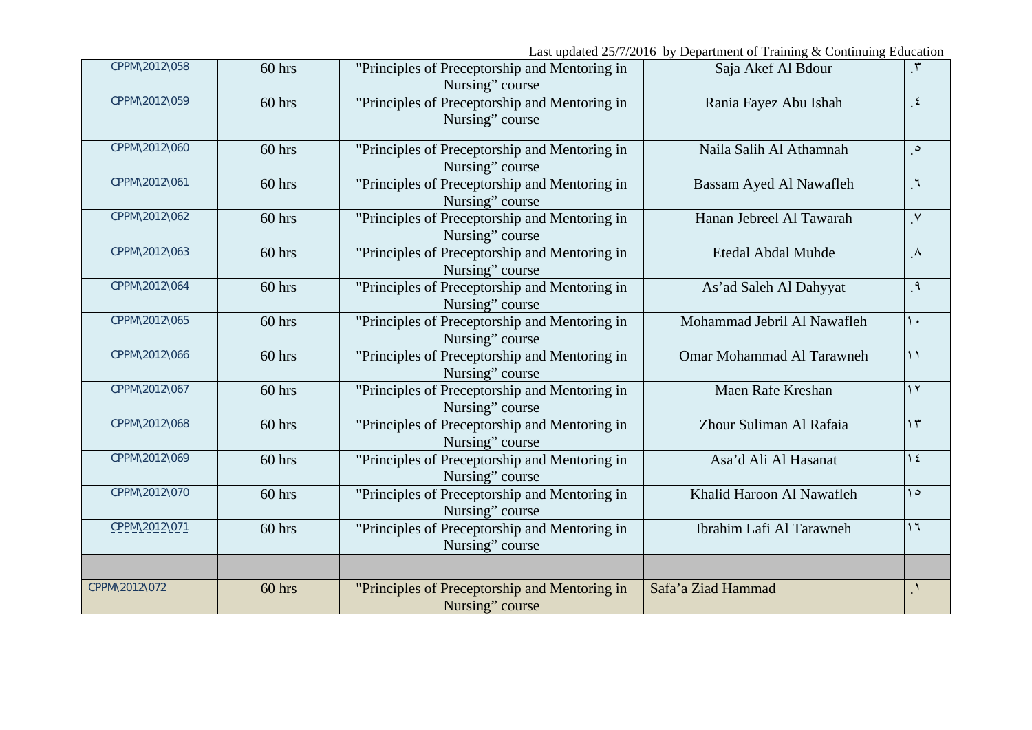| CPPM\2012\058 | 60 hrs   | "Principles of Preceptorship and Mentoring in<br>Nursing" course | Saja Akef Al Bdour               | $\mathcal{L}$  |
|---------------|----------|------------------------------------------------------------------|----------------------------------|----------------|
| CPPM\2012\059 | $60$ hrs | "Principles of Preceptorship and Mentoring in<br>Nursing" course | Rania Fayez Abu Ishah            | $\epsilon$     |
| CPPM\2012\060 | 60 hrs   | "Principles of Preceptorship and Mentoring in<br>Nursing" course | Naila Salih Al Athamnah          | $\circ$        |
| CPPM\2012\061 | $60$ hrs | "Principles of Preceptorship and Mentoring in<br>Nursing" course | Bassam Ayed Al Nawafleh          | $\mathcal{L}$  |
| CPPM\2012\062 | $60$ hrs | "Principles of Preceptorship and Mentoring in<br>Nursing" course | Hanan Jebreel Al Tawarah         | $\cdot^{\vee}$ |
| CPPM\2012\063 | $60$ hrs | "Principles of Preceptorship and Mentoring in<br>Nursing" course | Etedal Abdal Muhde               | $\Lambda$      |
| CPPM\2012\064 | 60 hrs   | "Principles of Preceptorship and Mentoring in<br>Nursing" course | As'ad Saleh Al Dahyyat           | $\mathsf{P}$ . |
| CPPM\2012\065 | 60 hrs   | "Principles of Preceptorship and Mentoring in<br>Nursing" course | Mohammad Jebril Al Nawafleh      | $\lambda$      |
| CPPM\2012\066 | $60$ hrs | "Principles of Preceptorship and Mentoring in<br>Nursing" course | <b>Omar Mohammad Al Tarawneh</b> | $\bigwedge$    |
| CPPM\2012\067 | 60 hrs   | "Principles of Preceptorship and Mentoring in<br>Nursing" course | Maen Rafe Kreshan                | $\gamma$       |
| CPPM\2012\068 | 60 hrs   | "Principles of Preceptorship and Mentoring in<br>Nursing" course | Zhour Suliman Al Rafaia          | $\gamma$       |
| CPPM\2012\069 | $60$ hrs | "Principles of Preceptorship and Mentoring in<br>Nursing" course | Asa'd Ali Al Hasanat             | $\frac{1}{2}$  |
| CPPM\2012\070 | 60 hrs   | "Principles of Preceptorship and Mentoring in<br>Nursing" course | Khalid Haroon Al Nawafleh        | $\Omega$       |
| CPPM\2012\071 | $60$ hrs | "Principles of Preceptorship and Mentoring in<br>Nursing" course | Ibrahim Lafi Al Tarawneh         | $\overline{1}$ |
| CPPM\2012\072 | $60$ hrs | "Principles of Preceptorship and Mentoring in<br>Nursing" course | Safa'a Ziad Hammad               | $\cdot$        |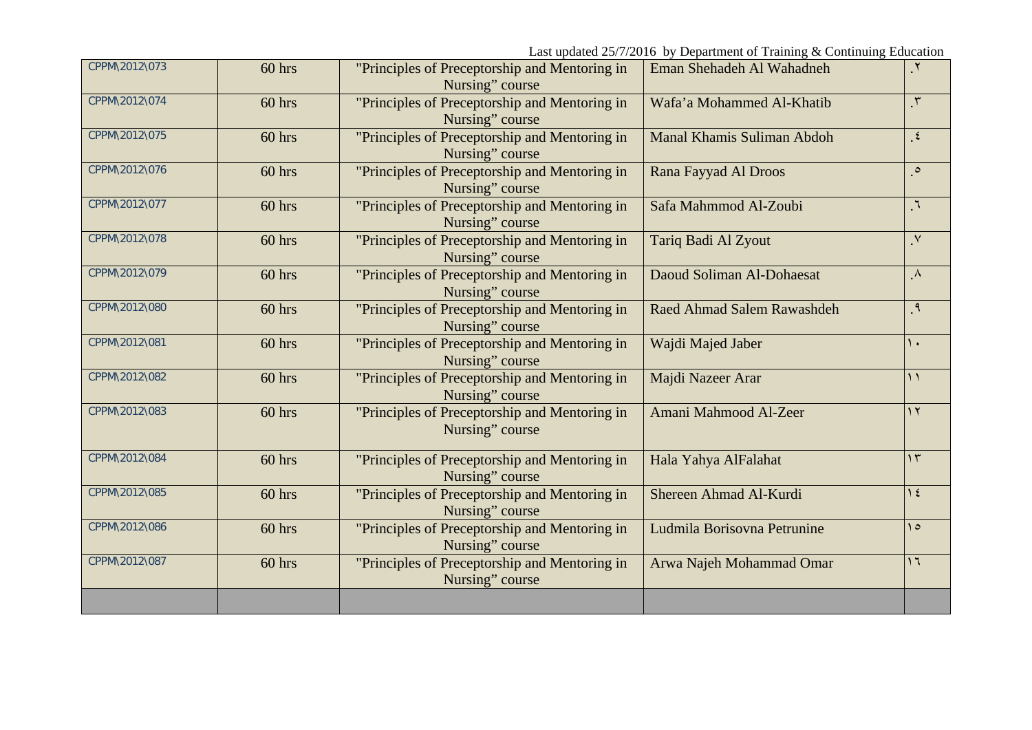| CPPM\2012\073 | $60$ hrs | "Principles of Preceptorship and Mentoring in<br>Nursing" course | Eman Shehadeh Al Wahadneh   | $\cdot$        |
|---------------|----------|------------------------------------------------------------------|-----------------------------|----------------|
| CPPM\2012\074 | $60$ hrs | "Principles of Preceptorship and Mentoring in<br>Nursing" course | Wafa'a Mohammed Al-Khatib   | $\mathbf{r}$   |
| CPPM\2012\075 | $60$ hrs | "Principles of Preceptorship and Mentoring in<br>Nursing" course | Manal Khamis Suliman Abdoh  | $\epsilon$     |
| CPPM\2012\076 | $60$ hrs | "Principles of Preceptorship and Mentoring in<br>Nursing" course | Rana Fayyad Al Droos        | $\circ$        |
| CPPM\2012\077 | 60 hrs   | "Principles of Preceptorship and Mentoring in<br>Nursing" course | Safa Mahmmod Al-Zoubi       | $\mathcal{L}$  |
| CPPM\2012\078 | 60 hrs   | "Principles of Preceptorship and Mentoring in<br>Nursing" course | Tariq Badi Al Zyout         | $\mathsf{V}$   |
| CPPM\2012\079 | $60$ hrs | "Principles of Preceptorship and Mentoring in<br>Nursing" course | Daoud Soliman Al-Dohaesat   | $\Lambda$      |
| CPPM\2012\080 | $60$ hrs | "Principles of Preceptorship and Mentoring in<br>Nursing" course | Raed Ahmad Salem Rawashdeh  | $\mathcal{A}$  |
| CPPM\2012\081 | 60 hrs   | "Principles of Preceptorship and Mentoring in<br>Nursing" course | Wajdi Majed Jaber           | ١.             |
| CPPM\2012\082 | 60 hrs   | "Principles of Preceptorship and Mentoring in<br>Nursing" course | Majdi Nazeer Arar           | $\bigwedge$    |
| CPPM\2012\083 | $60$ hrs | "Principles of Preceptorship and Mentoring in<br>Nursing" course | Amani Mahmood Al-Zeer       | $\gamma$       |
| CPPM\2012\084 | $60$ hrs | "Principles of Preceptorship and Mentoring in<br>Nursing" course | Hala Yahya AlFalahat        | $\gamma$       |
| CPPM\2012\085 | 60 hrs   | "Principles of Preceptorship and Mentoring in<br>Nursing" course | Shereen Ahmad Al-Kurdi      | $\gamma$ {     |
| CPPM\2012\086 | $60$ hrs | "Principles of Preceptorship and Mentoring in<br>Nursing" course | Ludmila Borisovna Petrunine | $\Omega$       |
| CPPM\2012\087 | 60 hrs   | "Principles of Preceptorship and Mentoring in<br>Nursing" course | Arwa Najeh Mohammad Omar    | $\overline{1}$ |
|               |          |                                                                  |                             |                |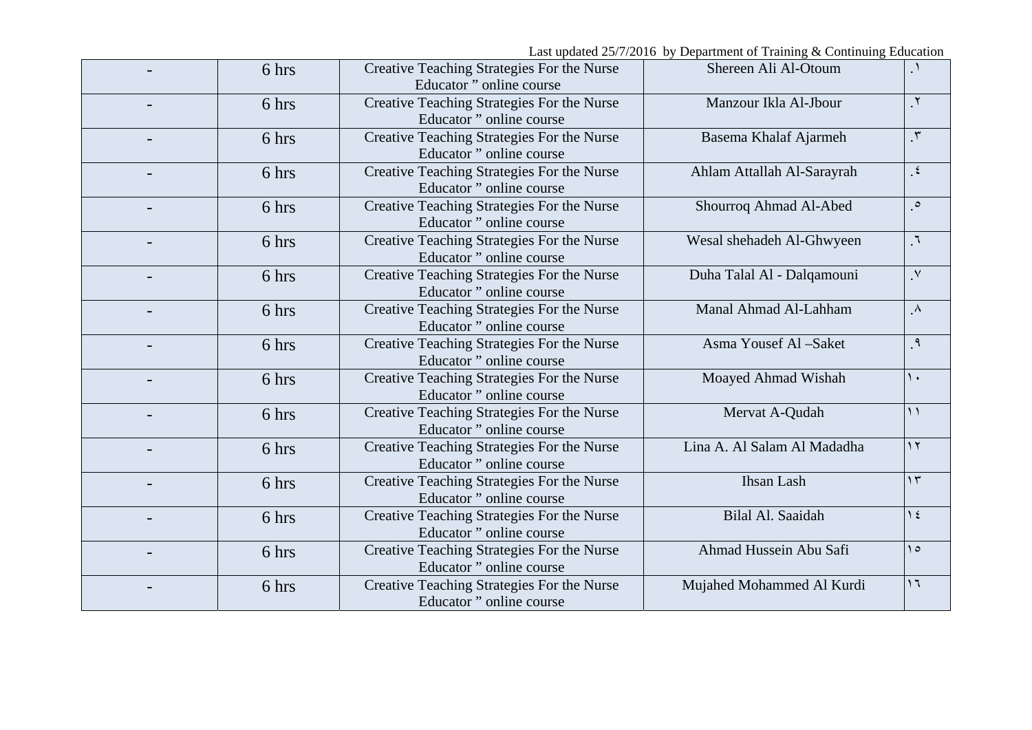Last updated 25/7/2016 by Department of Training & Continuing Education

| 6 hrs | Creative Teaching Strategies For the Nurse<br>Educator" online course | Shereen Ali Al-Otoum        | $\Delta$              |
|-------|-----------------------------------------------------------------------|-----------------------------|-----------------------|
| 6 hrs | Creative Teaching Strategies For the Nurse<br>Educator" online course | Manzour Ikla Al-Jbour       | $\mathbf{r}$          |
| 6 hrs | Creative Teaching Strategies For the Nurse<br>Educator" online course | Basema Khalaf Ajarmeh       | $\mathcal{L}$         |
| 6 hrs | Creative Teaching Strategies For the Nurse<br>Educator" online course | Ahlam Attallah Al-Sarayrah  | $\epsilon$            |
| 6 hrs | Creative Teaching Strategies For the Nurse<br>Educator" online course | Shourroq Ahmad Al-Abed      | $\circ$               |
| 6 hrs | Creative Teaching Strategies For the Nurse<br>Educator" online course | Wesal shehadeh Al-Ghwyeen   | $\mathcal{L}_{\perp}$ |
| 6 hrs | Creative Teaching Strategies For the Nurse<br>Educator" online course | Duha Talal Al - Dalqamouni  | $\mathsf{v}$          |
| 6 hrs | Creative Teaching Strategies For the Nurse<br>Educator" online course | Manal Ahmad Al-Lahham       | $\Lambda$             |
| 6 hrs | Creative Teaching Strategies For the Nurse<br>Educator" online course | Asma Yousef Al-Saket        | $^{\circ}$            |
| 6 hrs | Creative Teaching Strategies For the Nurse<br>Educator" online course | Moayed Ahmad Wishah         | ١.                    |
| 6 hrs | Creative Teaching Strategies For the Nurse<br>Educator" online course | Mervat A-Qudah              | $\mathcal{L}$         |
| 6 hrs | Creative Teaching Strategies For the Nurse<br>Educator" online course | Lina A. Al Salam Al Madadha | $\gamma$              |
| 6 hrs | Creative Teaching Strategies For the Nurse<br>Educator" online course | <b>Ihsan Lash</b>           | $\gamma$              |
| 6 hrs | Creative Teaching Strategies For the Nurse<br>Educator" online course | Bilal Al. Saaidah           | $\frac{1}{2}$         |
| 6 hrs | Creative Teaching Strategies For the Nurse<br>Educator" online course | Ahmad Hussein Abu Safi      | $\theta$              |
| 6 hrs | Creative Teaching Strategies For the Nurse<br>Educator" online course | Mujahed Mohammed Al Kurdi   | $\overline{1}$        |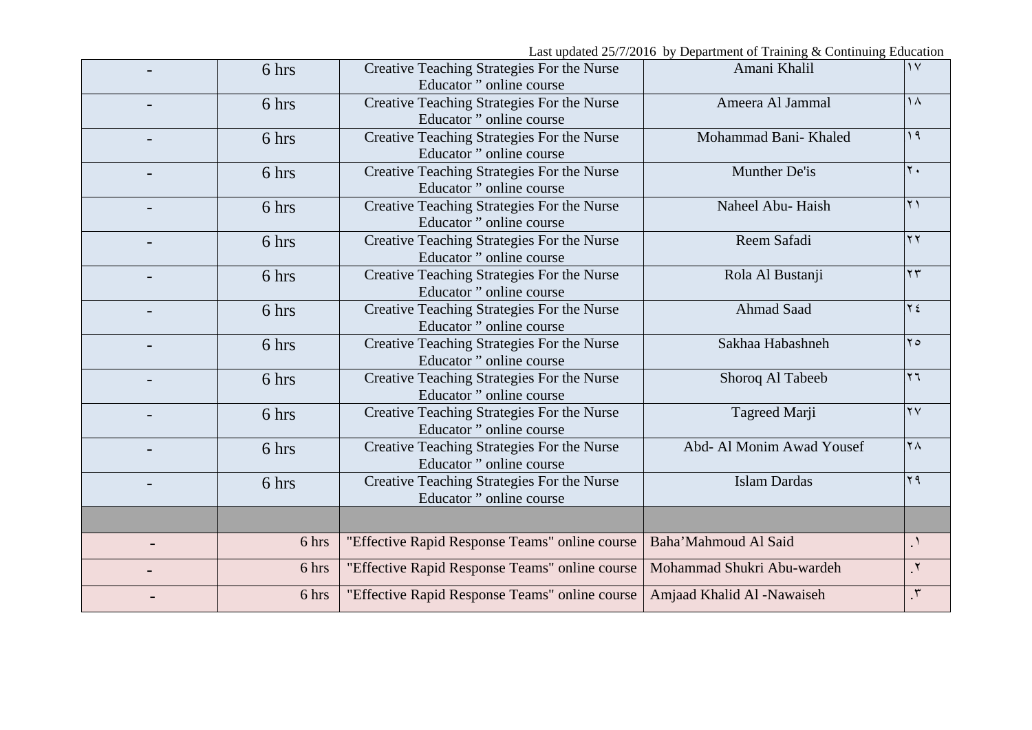| 6 hrs | Creative Teaching Strategies For the Nurse<br>Educator" online course | Amani Khalil               | $\gamma$               |
|-------|-----------------------------------------------------------------------|----------------------------|------------------------|
| 6 hrs | Creative Teaching Strategies For the Nurse<br>Educator" online course | Ameera Al Jammal           | $\lambda$              |
| 6 hrs | Creative Teaching Strategies For the Nurse<br>Educator" online course | Mohammad Bani- Khaled      | 19                     |
| 6 hrs | Creative Teaching Strategies For the Nurse<br>Educator" online course | Munther De'is              | $\mathbf{y}$ .         |
| 6 hrs | Creative Teaching Strategies For the Nurse<br>Educator" online course | Naheel Abu- Haish          | $\lambda$              |
| 6 hrs | Creative Teaching Strategies For the Nurse<br>Educator" online course | Reem Safadi                | $\gamma \gamma$        |
| 6 hrs | Creative Teaching Strategies For the Nurse<br>Educator" online course | Rola Al Bustanji           | $\gamma \gamma$        |
| 6 hrs | Creative Teaching Strategies For the Nurse<br>Educator" online course | <b>Ahmad Saad</b>          | $Y \xi$                |
| 6 hrs | Creative Teaching Strategies For the Nurse<br>Educator" online course | Sakhaa Habashneh           | $\mathbf{y}$           |
| 6 hrs | Creative Teaching Strategies For the Nurse<br>Educator" online course | Shoroq Al Tabeeb           | $\mathbf{y}$           |
| 6 hrs | Creative Teaching Strategies For the Nurse<br>Educator" online course | Tagreed Marji              | $\mathsf{Y}\mathsf{V}$ |
| 6 hrs | Creative Teaching Strategies For the Nurse<br>Educator" online course | Abd- Al Monim Awad Yousef  | $\mathsf{Y}\wedge$     |
| 6 hrs | Creative Teaching Strategies For the Nurse<br>Educator" online course | <b>Islam Dardas</b>        | $Y$ ٩                  |
|       |                                                                       |                            |                        |
| 6 hrs | "Effective Rapid Response Teams" online course                        | Baha'Mahmoud Al Said       | $\cdot$                |
| 6 hrs | "Effective Rapid Response Teams" online course                        | Mohammad Shukri Abu-wardeh | $\mathsf{r}$ .         |
| 6 hrs | "Effective Rapid Response Teams" online course                        | Amjaad Khalid Al -Nawaiseh | $\mathbf{r}$           |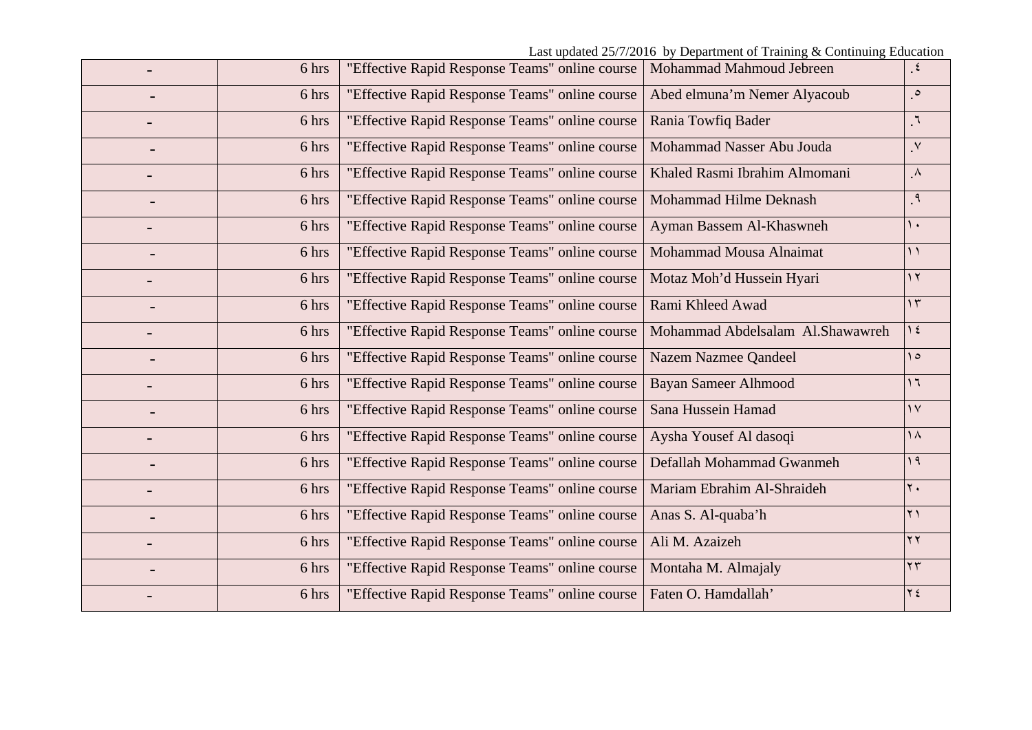| 6 hrs | "Effective Rapid Response Teams" online course | Mohammad Mahmoud Jebreen         | $\epsilon$      |
|-------|------------------------------------------------|----------------------------------|-----------------|
| 6 hrs | "Effective Rapid Response Teams" online course | Abed elmuna'm Nemer Alyacoub     | $\circ$         |
| 6 hrs | "Effective Rapid Response Teams" online course | Rania Towfiq Bader               | $\mathcal{L}$ . |
| 6 hrs | "Effective Rapid Response Teams" online course | Mohammad Nasser Abu Jouda        | $\mathsf{v}$    |
| 6 hrs | "Effective Rapid Response Teams" online course | Khaled Rasmi Ibrahim Almomani    | $\Lambda$       |
| 6 hrs | "Effective Rapid Response Teams" online course | Mohammad Hilme Deknash           | $\cdot$         |
| 6 hrs | "Effective Rapid Response Teams" online course | Ayman Bassem Al-Khaswneh         | $\lambda$       |
| 6 hrs | "Effective Rapid Response Teams" online course | Mohammad Mousa Alnaimat          | $\big)$         |
| 6 hrs | "Effective Rapid Response Teams" online course | Motaz Moh'd Hussein Hyari        | $\overline{y}$  |
| 6 hrs | "Effective Rapid Response Teams" online course | Rami Khleed Awad                 | $\gamma$        |
| 6 hrs | "Effective Rapid Response Teams" online course | Mohammad Abdelsalam Al.Shawawreh | $\gamma$ {      |
| 6 hrs | "Effective Rapid Response Teams" online course | Nazem Nazmee Qandeel             | $\Omega$        |
| 6 hrs | "Effective Rapid Response Teams" online course | <b>Bayan Sameer Alhmood</b>      | $\overline{1}$  |
| 6 hrs | "Effective Rapid Response Teams" online course | Sana Hussein Hamad               | $\gamma$        |
| 6 hrs | "Effective Rapid Response Teams" online course | Aysha Yousef Al dasoqi           | $\lambda$       |
| 6 hrs | "Effective Rapid Response Teams" online course | Defallah Mohammad Gwanmeh        | 19              |
| 6 hrs | "Effective Rapid Response Teams" online course | Mariam Ebrahim Al-Shraideh       | $\mathbf{y}$ .  |
| 6 hrs | "Effective Rapid Response Teams" online course | Anas S. Al-quaba'h               | $\gamma$ )      |
| 6 hrs | "Effective Rapid Response Teams" online course | Ali M. Azaizeh                   | $\gamma \gamma$ |
| 6 hrs | "Effective Rapid Response Teams" online course | Montaha M. Almajaly              | $\mathbf{y}$    |
| 6 hrs | "Effective Rapid Response Teams" online course | Faten O. Hamdallah'              | $Y \xi$         |